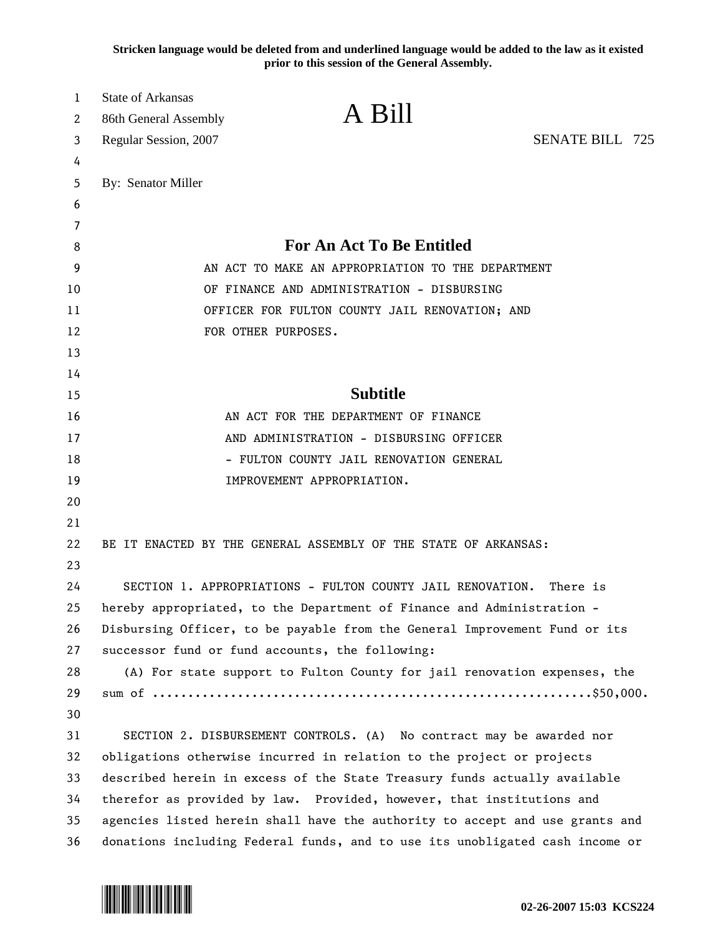**Stricken language would be deleted from and underlined language would be added to the law as it existed prior to this session of the General Assembly.**

| 1  | <b>State of Arkansas</b>                                                     | A Bill                                                                   |                        |
|----|------------------------------------------------------------------------------|--------------------------------------------------------------------------|------------------------|
| 2  | 86th General Assembly                                                        |                                                                          |                        |
| 3  | Regular Session, 2007                                                        |                                                                          | <b>SENATE BILL 725</b> |
| 4  |                                                                              |                                                                          |                        |
| 5  | By: Senator Miller                                                           |                                                                          |                        |
| 6  |                                                                              |                                                                          |                        |
| 7  |                                                                              |                                                                          |                        |
| 8  | <b>For An Act To Be Entitled</b>                                             |                                                                          |                        |
| 9  | AN ACT TO MAKE AN APPROPRIATION TO THE DEPARTMENT                            |                                                                          |                        |
| 10 | OF FINANCE AND ADMINISTRATION - DISBURSING                                   |                                                                          |                        |
| 11 | OFFICER FOR FULTON COUNTY JAIL RENOVATION; AND                               |                                                                          |                        |
| 12 | FOR OTHER PURPOSES.                                                          |                                                                          |                        |
| 13 |                                                                              |                                                                          |                        |
| 14 |                                                                              |                                                                          |                        |
| 15 | <b>Subtitle</b>                                                              |                                                                          |                        |
| 16 | AN ACT FOR THE DEPARTMENT OF FINANCE                                         |                                                                          |                        |
| 17 | AND ADMINISTRATION - DISBURSING OFFICER                                      |                                                                          |                        |
| 18 | - FULTON COUNTY JAIL RENOVATION GENERAL                                      |                                                                          |                        |
| 19 |                                                                              | IMPROVEMENT APPROPRIATION.                                               |                        |
| 20 |                                                                              |                                                                          |                        |
| 21 |                                                                              |                                                                          |                        |
| 22 |                                                                              | BE IT ENACTED BY THE GENERAL ASSEMBLY OF THE STATE OF ARKANSAS:          |                        |
| 23 |                                                                              |                                                                          |                        |
| 24 |                                                                              | SECTION 1. APPROPRIATIONS - FULTON COUNTY JAIL RENOVATION.               | There is               |
| 25 | hereby appropriated, to the Department of Finance and Administration -       |                                                                          |                        |
| 26 | Disbursing Officer, to be payable from the General Improvement Fund or its   |                                                                          |                        |
| 27 | successor fund or fund accounts, the following:                              |                                                                          |                        |
| 28 |                                                                              | (A) For state support to Fulton County for jail renovation expenses, the |                        |
| 29 |                                                                              |                                                                          |                        |
| 30 |                                                                              |                                                                          |                        |
| 31 |                                                                              | SECTION 2. DISBURSEMENT CONTROLS. (A) No contract may be awarded nor     |                        |
| 32 | obligations otherwise incurred in relation to the project or projects        |                                                                          |                        |
| 33 | described herein in excess of the State Treasury funds actually available    |                                                                          |                        |
| 34 | therefor as provided by law. Provided, however, that institutions and        |                                                                          |                        |
| 35 | agencies listed herein shall have the authority to accept and use grants and |                                                                          |                        |
| 36 | donations including Federal funds, and to use its unobligated cash income or |                                                                          |                        |